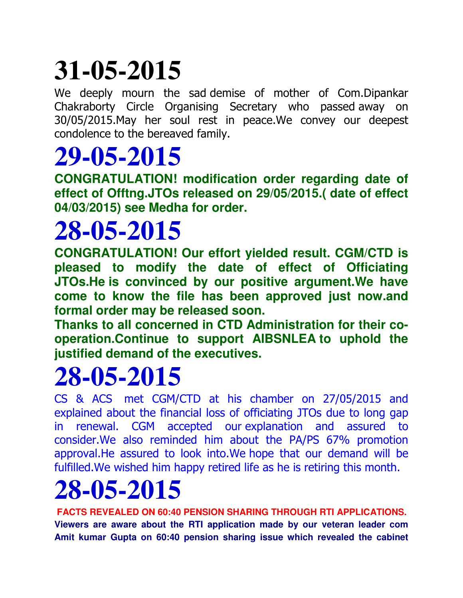# **31-05-2015**

We deeply mourn the sad demise of mother of Com.Dipankar Chakraborty Circle Organising Secretary who passed away on 30/05/2015.May her soul rest in peace.We convey our deepest condolence to the bereaved family.

#### **29-05-2015**

**CONGRATULATION! modification order regarding date of effect of Offtng.JTOs released on 29/05/2015.( date of effect 04/03/2015) see Medha for order.**

## **28-05-2015**

**CONGRATULATION! Our effort yielded result. CGM/CTD is pleased to modify the date of effect of Officiating JTOs.He is convinced by our positive argument.We have come to know the file has been approved just now.and formal order may be released soon.**

**Thanks to all concerned in CTD Administration for their cooperation.Continue to support AIBSNLEA to uphold the justified demand of the executives.**

### **28-05-2015**

CS & ACS met CGM/CTD at his chamber on 27/05/2015 and explained about the financial loss of officiating JTOs due to long gap in renewal. CGM accepted our explanation and assured to consider.We also reminded him about the PA/PS 67% promotion approval.He assured to look into.We hope that our demand will be fulfilled.We wished him happy retired life as he is retiring this month.

## **28-05-2015**

**FACTS REVEALED ON 60:40 PENSION SHARING THROUGH RTI APPLICATIONS. Viewers are aware about the RTI application made by our veteran leader com Amit kumar Gupta on 60:40 pension sharing issue which revealed the cabinet**